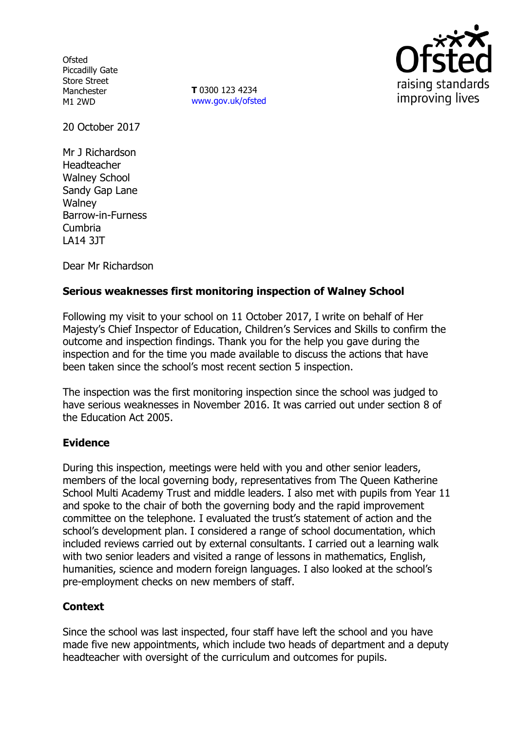**Ofsted** Piccadilly Gate Store Street Manchester M1 2WD

**T** 0300 123 4234 www.gov.uk/ofsted



20 October 2017

Mr J Richardson Headteacher Walney School Sandy Gap Lane **Walney** Barrow-in-Furness Cumbria LA14 3JT

Dear Mr Richardson

## **Serious weaknesses first monitoring inspection of Walney School**

Following my visit to your school on 11 October 2017, I write on behalf of Her Majesty's Chief Inspector of Education, Children's Services and Skills to confirm the outcome and inspection findings. Thank you for the help you gave during the inspection and for the time you made available to discuss the actions that have been taken since the school's most recent section 5 inspection.

The inspection was the first monitoring inspection since the school was judged to have serious weaknesses in November 2016. It was carried out under section 8 of the Education Act 2005.

## **Evidence**

During this inspection, meetings were held with you and other senior leaders, members of the local governing body, representatives from The Queen Katherine School Multi Academy Trust and middle leaders. I also met with pupils from Year 11 and spoke to the chair of both the governing body and the rapid improvement committee on the telephone. I evaluated the trust's statement of action and the school's development plan. I considered a range of school documentation, which included reviews carried out by external consultants. I carried out a learning walk with two senior leaders and visited a range of lessons in mathematics, English, humanities, science and modern foreign languages. I also looked at the school's pre-employment checks on new members of staff.

## **Context**

Since the school was last inspected, four staff have left the school and you have made five new appointments, which include two heads of department and a deputy headteacher with oversight of the curriculum and outcomes for pupils.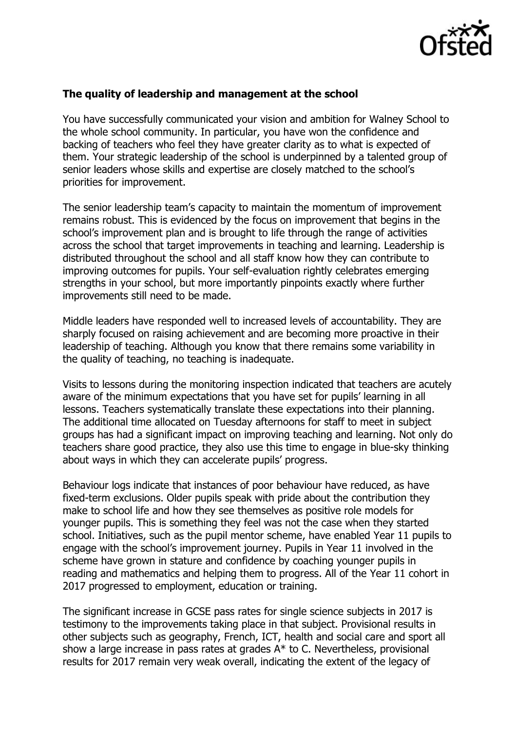

## **The quality of leadership and management at the school**

You have successfully communicated your vision and ambition for Walney School to the whole school community. In particular, you have won the confidence and backing of teachers who feel they have greater clarity as to what is expected of them. Your strategic leadership of the school is underpinned by a talented group of senior leaders whose skills and expertise are closely matched to the school's priorities for improvement.

The senior leadership team's capacity to maintain the momentum of improvement remains robust. This is evidenced by the focus on improvement that begins in the school's improvement plan and is brought to life through the range of activities across the school that target improvements in teaching and learning. Leadership is distributed throughout the school and all staff know how they can contribute to improving outcomes for pupils. Your self-evaluation rightly celebrates emerging strengths in your school, but more importantly pinpoints exactly where further improvements still need to be made.

Middle leaders have responded well to increased levels of accountability. They are sharply focused on raising achievement and are becoming more proactive in their leadership of teaching. Although you know that there remains some variability in the quality of teaching, no teaching is inadequate.

Visits to lessons during the monitoring inspection indicated that teachers are acutely aware of the minimum expectations that you have set for pupils' learning in all lessons. Teachers systematically translate these expectations into their planning. The additional time allocated on Tuesday afternoons for staff to meet in subject groups has had a significant impact on improving teaching and learning. Not only do teachers share good practice, they also use this time to engage in blue-sky thinking about ways in which they can accelerate pupils' progress.

Behaviour logs indicate that instances of poor behaviour have reduced, as have fixed-term exclusions. Older pupils speak with pride about the contribution they make to school life and how they see themselves as positive role models for younger pupils. This is something they feel was not the case when they started school. Initiatives, such as the pupil mentor scheme, have enabled Year 11 pupils to engage with the school's improvement journey. Pupils in Year 11 involved in the scheme have grown in stature and confidence by coaching younger pupils in reading and mathematics and helping them to progress. All of the Year 11 cohort in 2017 progressed to employment, education or training.

The significant increase in GCSE pass rates for single science subjects in 2017 is testimony to the improvements taking place in that subject. Provisional results in other subjects such as geography, French, ICT, health and social care and sport all show a large increase in pass rates at grades A\* to C. Nevertheless, provisional results for 2017 remain very weak overall, indicating the extent of the legacy of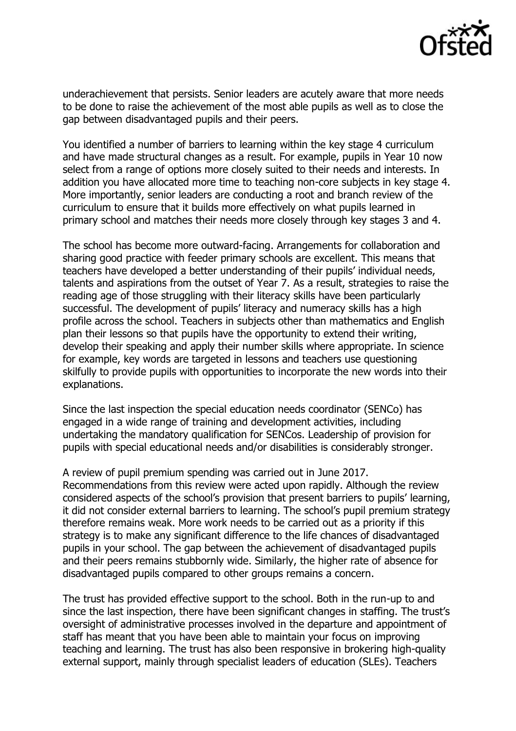

underachievement that persists. Senior leaders are acutely aware that more needs to be done to raise the achievement of the most able pupils as well as to close the gap between disadvantaged pupils and their peers.

You identified a number of barriers to learning within the key stage 4 curriculum and have made structural changes as a result. For example, pupils in Year 10 now select from a range of options more closely suited to their needs and interests. In addition you have allocated more time to teaching non-core subjects in key stage 4. More importantly, senior leaders are conducting a root and branch review of the curriculum to ensure that it builds more effectively on what pupils learned in primary school and matches their needs more closely through key stages 3 and 4.

The school has become more outward-facing. Arrangements for collaboration and sharing good practice with feeder primary schools are excellent. This means that teachers have developed a better understanding of their pupils' individual needs, talents and aspirations from the outset of Year 7. As a result, strategies to raise the reading age of those struggling with their literacy skills have been particularly successful. The development of pupils' literacy and numeracy skills has a high profile across the school. Teachers in subjects other than mathematics and English plan their lessons so that pupils have the opportunity to extend their writing, develop their speaking and apply their number skills where appropriate. In science for example, key words are targeted in lessons and teachers use questioning skilfully to provide pupils with opportunities to incorporate the new words into their explanations.

Since the last inspection the special education needs coordinator (SENCo) has engaged in a wide range of training and development activities, including undertaking the mandatory qualification for SENCos. Leadership of provision for pupils with special educational needs and/or disabilities is considerably stronger.

A review of pupil premium spending was carried out in June 2017. Recommendations from this review were acted upon rapidly. Although the review considered aspects of the school's provision that present barriers to pupils' learning, it did not consider external barriers to learning. The school's pupil premium strategy therefore remains weak. More work needs to be carried out as a priority if this strategy is to make any significant difference to the life chances of disadvantaged pupils in your school. The gap between the achievement of disadvantaged pupils and their peers remains stubbornly wide. Similarly, the higher rate of absence for disadvantaged pupils compared to other groups remains a concern.

The trust has provided effective support to the school. Both in the run-up to and since the last inspection, there have been significant changes in staffing. The trust's oversight of administrative processes involved in the departure and appointment of staff has meant that you have been able to maintain your focus on improving teaching and learning. The trust has also been responsive in brokering high-quality external support, mainly through specialist leaders of education (SLEs). Teachers